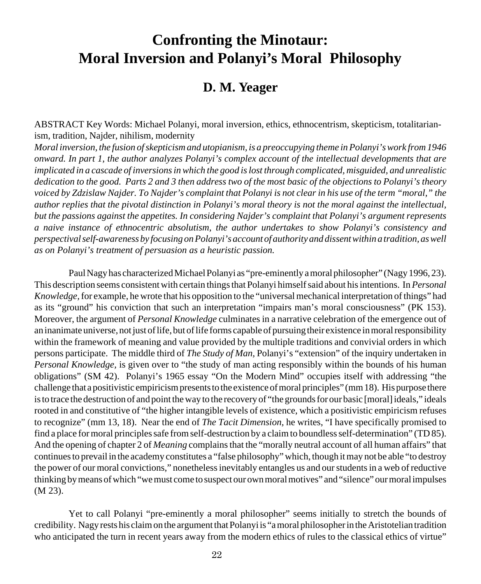# **Confronting the Minotaur: Moral Inversion and Polanyi's Moral Philosophy**

## **D. M. Yeager**

ABSTRACT Key Words: Michael Polanyi, moral inversion, ethics, ethnocentrism, skepticism, totalitarianism, tradition, Najder, nihilism, modernity

*Moral inversion, the fusion of skepticism and utopianism, is a preoccupying theme in Polanyi's work from 1946 onward. In part 1, the author analyzes Polanyi's complex account of the intellectual developments that are implicated in a cascade of inversions in which the good is lost through complicated, misguided, and unrealistic dedication to the good. Parts 2 and 3 then address two of the most basic of the objections to Polanyi's theory voiced by Zdzislaw Najder. To Najder's complaint that Polanyi is not clear in his use of the term "moral," the author replies that the pivotal distinction in Polanyi's moral theory is not the moral against the intellectual, but the passions against the appetites. In considering Najder's complaint that Polanyi's argument represents a naive instance of ethnocentric absolutism, the author undertakes to show Polanyi's consistency and perspectival self-awareness by focusing on Polanyi's account of authority and dissent within a tradition, as well as on Polanyi's treatment of persuasion as a heuristic passion.*

Paul Nagy has characterized Michael Polanyi as "pre-eminently a moral philosopher" (Nagy 1996, 23). This description seems consistent with certain things that Polanyi himself said about his intentions. In *Personal Knowledge,* for example, he wrote that his opposition to the "universal mechanical interpretation of things" had as its "ground" his conviction that such an interpretation "impairs man's moral consciousness" (PK 153). Moreover, the argument of *Personal Knowledge* culminates in a narrative celebration of the emergence out of an inanimate universe, not just of life, but of life forms capable of pursuing their existence in moral responsibility within the framework of meaning and value provided by the multiple traditions and convivial orders in which persons participate. The middle third of *The Study of Man,* Polanyi's "extension" of the inquiry undertaken in *Personal Knowledge,* is given over to "the study of man acting responsibly within the bounds of his human obligations" (SM 42). Polanyi's 1965 essay "On the Modern Mind" occupies itself with addressing "the challenge that a positivistic empiricism presents to the existence of moral principles" (mm 18). His purpose there is to trace the destruction of and point the way to the recovery of "the grounds for our basic [moral] ideals," ideals rooted in and constitutive of "the higher intangible levels of existence, which a positivistic empiricism refuses to recognize" (mm 13, 18). Near the end of *The Tacit Dimension,* he writes, "I have specifically promised to find a place for moral principles safe from self-destruction by a claim to boundless self-determination" (TD 85). And the opening of chapter 2 of *Meaning* complains that the "morally neutral account of all human affairs" that continues to prevail in the academy constitutes a "false philosophy" which, though it may not be able "to destroy the power of our moral convictions," nonetheless inevitably entangles us and our students in a web of reductive thinking by means of which "we must come to suspect our own moral motives" and "silence" our moral impulses (M 23).

Yet to call Polanyi "pre-eminently a moral philosopher" seems initially to stretch the bounds of credibility. Nagy rests his claim on the argument that Polanyi is "a moral philosopher in the Aristotelian tradition who anticipated the turn in recent years away from the modern ethics of rules to the classical ethics of virtue"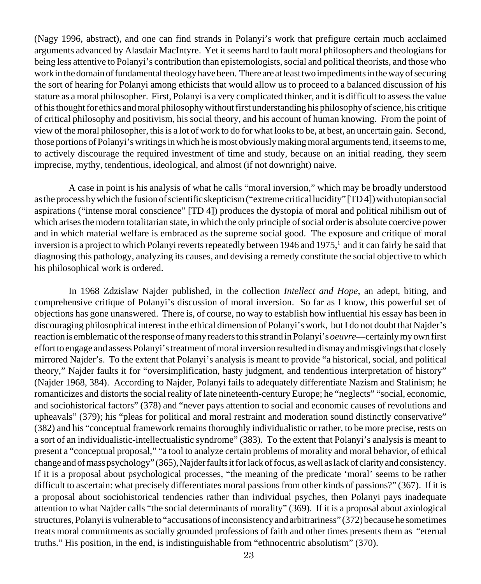(Nagy 1996, abstract), and one can find strands in Polanyi's work that prefigure certain much acclaimed arguments advanced by Alasdair MacIntyre. Yet it seems hard to fault moral philosophers and theologians for being less attentive to Polanyi's contribution than epistemologists, social and political theorists, and those who work in the domain of fundamental theology have been. There are at least two impediments in the way of securing the sort of hearing for Polanyi among ethicists that would allow us to proceed to a balanced discussion of his stature as a moral philosopher. First, Polanyi is a very complicated thinker, and it is difficult to assess the value of his thought for ethics and moral philosophy without first understanding his philosophy of science, his critique of critical philosophy and positivism, his social theory, and his account of human knowing. From the point of view of the moral philosopher, this is a lot of work to do for what looks to be, at best, an uncertain gain. Second, those portions of Polanyi's writings in which he is most obviously making moral arguments tend, it seems to me, to actively discourage the required investment of time and study, because on an initial reading, they seem imprecise, mythy, tendentious, ideological, and almost (if not downright) naive.

A case in point is his analysis of what he calls "moral inversion," which may be broadly understood as the process by which the fusion of scientific skepticism ("extreme critical lucidity" [TD 4]) with utopian social aspirations ("intense moral conscience" [TD 4]) produces the dystopia of moral and political nihilism out of which arises the modern totalitarian state, in which the only principle of social order is absolute coercive power and in which material welfare is embraced as the supreme social good. The exposure and critique of moral inversion is a project to which Polanyi reverts repeatedly between 1946 and 1975,<sup>1</sup> and it can fairly be said that diagnosing this pathology, analyzing its causes, and devising a remedy constitute the social objective to which his philosophical work is ordered.

In 1968 Zdzislaw Najder published, in the collection *Intellect and Hope,* an adept, biting, and comprehensive critique of Polanyi's discussion of moral inversion. So far as I know, this powerful set of objections has gone unanswered. There is, of course, no way to establish how influential his essay has been in discouraging philosophical interest in the ethical dimension of Polanyi's work, but I do not doubt that Najder's reaction is emblematic of the response of many readers to this strand in Polanyi's *oeuvre*—certainly my own first effort to engage and assess Polanyi's treatment of moral inversion resulted in dismay and misgivings that closely mirrored Najder's. To the extent that Polanyi's analysis is meant to provide "a historical, social, and political theory," Najder faults it for "oversimplification, hasty judgment, and tendentious interpretation of history" (Najder 1968, 384). According to Najder, Polanyi fails to adequately differentiate Nazism and Stalinism; he romanticizes and distorts the social reality of late nineteenth-century Europe; he "neglects" "social, economic, and sociohistorical factors" (378) and "never pays attention to social and economic causes of revolutions and upheavals" (379); his "pleas for political and moral restraint and moderation sound distinctly conservative" (382) and his "conceptual framework remains thoroughly individualistic or rather, to be more precise, rests on a sort of an individualistic-intellectualistic syndrome" (383). To the extent that Polanyi's analysis is meant to present a "conceptual proposal," "a tool to analyze certain problems of morality and moral behavior, of ethical change and of mass psychology" (365), Najder faults it for lack of focus, as well as lack of clarity and consistency. If it is a proposal about psychological processes, "the meaning of the predicate 'moral' seems to be rather difficult to ascertain: what precisely differentiates moral passions from other kinds of passions?" (367). If it is a proposal about sociohistorical tendencies rather than individual psyches, then Polanyi pays inadequate attention to what Najder calls "the social determinants of morality" (369). If it is a proposal about axiological structures, Polanyi is vulnerable to "accusations of inconsistency and arbitrariness" (372) because he sometimes treats moral commitments as socially grounded professions of faith and other times presents them as "eternal truths." His position, in the end, is indistinguishable from "ethnocentric absolutism" (370).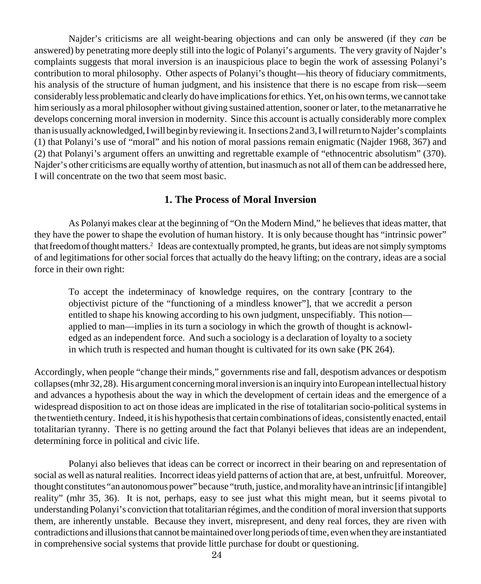Najder's criticisms are all weight-bearing objections and can only be answered (if they *can* be answered) by penetrating more deeply still into the logic of Polanyi's arguments. The very gravity of Najder's complaints suggests that moral inversion is an inauspicious place to begin the work of assessing Polanyi's contribution to moral philosophy. Other aspects of Polanyi's thought—his theory of fiduciary commitments, his analysis of the structure of human judgment, and his insistence that there is no escape from risk—seem considerably less problematic and clearly do have implications for ethics. Yet, on his own terms, we cannot take him seriously as a moral philosopher without giving sustained attention, sooner or later, to the metanarrative he develops concerning moral inversion in modernity. Since this account is actually considerably more complex than is usually acknowledged, I will begin by reviewing it. In sections 2 and 3, I will return to Najder's complaints (1) that Polanyi's use of "moral" and his notion of moral passions remain enigmatic (Najder 1968, 367) and (2) that Polanyi's argument offers an unwitting and regrettable example of "ethnocentric absolutism" (370). Najder's other criticisms are equally worthy of attention, but inasmuch as not all of them can be addressed here, I will concentrate on the two that seem most basic.

## **1. The Process of Moral Inversion**

As Polanyi makes clear at the beginning of "On the Modern Mind," he believes that ideas matter, that they have the power to shape the evolution of human history. It is only because thought has "intrinsic power" that freedom of thought matters.2 Ideas are contextually prompted, he grants, but ideas are not simply symptoms of and legitimations for other social forces that actually do the heavy lifting; on the contrary, ideas are a social force in their own right:

To accept the indeterminacy of knowledge requires, on the contrary [contrary to the objectivist picture of the "functioning of a mindless knower"], that we accredit a person entitled to shape his knowing according to his own judgment, unspecifiably. This notion applied to man—implies in its turn a sociology in which the growth of thought is acknowledged as an independent force. And such a sociology is a declaration of loyalty to a society in which truth is respected and human thought is cultivated for its own sake (PK 264).

Accordingly, when people "change their minds," governments rise and fall, despotism advances or despotism collapses (mhr 32, 28). His argument concerning moral inversion is an inquiry into European intellectual history and advances a hypothesis about the way in which the development of certain ideas and the emergence of a widespread disposition to act on those ideas are implicated in the rise of totalitarian socio-political systems in the twentieth century. Indeed, it is his hypothesis that certain combinations of ideas, consistently enacted, entail totalitarian tyranny. There is no getting around the fact that Polanyi believes that ideas are an independent, determining force in political and civic life.

Polanyi also believes that ideas can be correct or incorrect in their bearing on and representation of social as well as natural realities. Incorrect ideas yield patterns of action that are, at best, unfruitful. Moreover, thought constitutes "an autonomous power" because "truth, justice, and morality have an intrinsic [if intangible] reality" (mhr 35, 36). It is not, perhaps, easy to see just what this might mean, but it seems pivotal to understanding Polanyi's conviction that totalitarian régimes, and the condition of moral inversion that supports them, are inherently unstable. Because they invert, misrepresent, and deny real forces, they are riven with contradictions and illusions that cannot be maintained over long periods of time, even when they are instantiated in comprehensive social systems that provide little purchase for doubt or questioning.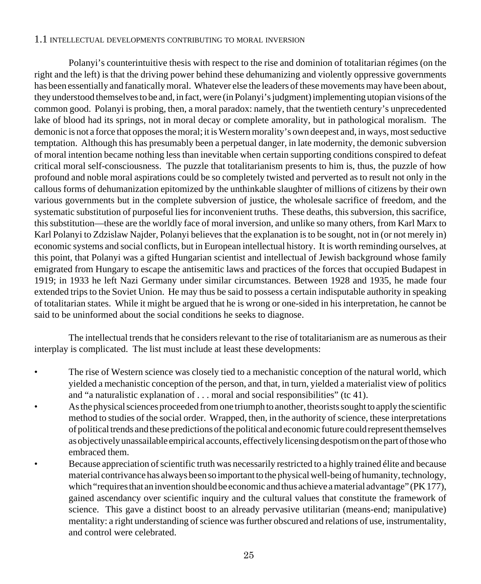#### 1.1 INTELLECTUAL DEVELOPMENTS CONTRIBUTING TO MORAL INVERSION

Polanyi's counterintuitive thesis with respect to the rise and dominion of totalitarian régimes (on the right and the left) is that the driving power behind these dehumanizing and violently oppressive governments has been essentially and fanatically moral. Whatever else the leaders of these movements may have been about, they understood themselves to be and, in fact, were (in Polanyi's judgment) implementing utopian visions of the common good. Polanyi is probing, then, a moral paradox: namely, that the twentieth century's unprecedented lake of blood had its springs, not in moral decay or complete amorality, but in pathological moralism. The demonic is not a force that opposes the moral; it is Western morality's own deepest and, in ways, most seductive temptation. Although this has presumably been a perpetual danger, in late modernity, the demonic subversion of moral intention became nothing less than inevitable when certain supporting conditions conspired to defeat critical moral self-consciousness. The puzzle that totalitarianism presents to him is, thus, the puzzle of how profound and noble moral aspirations could be so completely twisted and perverted as to result not only in the callous forms of dehumanization epitomized by the unthinkable slaughter of millions of citizens by their own various governments but in the complete subversion of justice, the wholesale sacrifice of freedom, and the systematic substitution of purposeful lies for inconvenient truths. These deaths, this subversion, this sacrifice, this substitution—these are the worldly face of moral inversion, and unlike so many others, from Karl Marx to Karl Polanyi to Zdzislaw Najder, Polanyi believes that the explanation is to be sought, not in (or not merely in) economic systems and social conflicts, but in European intellectual history. It is worth reminding ourselves, at this point, that Polanyi was a gifted Hungarian scientist and intellectual of Jewish background whose family emigrated from Hungary to escape the antisemitic laws and practices of the forces that occupied Budapest in 1919; in 1933 he left Nazi Germany under similar circumstances. Between 1928 and 1935, he made four extended trips to the Soviet Union. He may thus be said to possess a certain indisputable authority in speaking of totalitarian states. While it might be argued that he is wrong or one-sided in his interpretation, he cannot be said to be uninformed about the social conditions he seeks to diagnose.

The intellectual trends that he considers relevant to the rise of totalitarianism are as numerous as their interplay is complicated. The list must include at least these developments:

- The rise of Western science was closely tied to a mechanistic conception of the natural world, which yielded a mechanistic conception of the person, and that, in turn, yielded a materialist view of politics and "a naturalistic explanation of . . . moral and social responsibilities" (tc 41).
- As the physical sciences proceeded from one triumph to another, theorists sought to apply the scientific method to studies of the social order. Wrapped, then, in the authority of science, these interpretations of political trends and these predictions of the political and economic future could represent themselves as objectively unassailable empirical accounts, effectively licensing despotism on the part of those who embraced them.
- Because appreciation of scientific truth was necessarily restricted to a highly trained élite and because material contrivance has always been so important to the physical well-being of humanity, technology, which "requires that an invention should be economic and thus achieve a material advantage" (PK 177), gained ascendancy over scientific inquiry and the cultural values that constitute the framework of science. This gave a distinct boost to an already pervasive utilitarian (means-end; manipulative) mentality: a right understanding of science was further obscured and relations of use, instrumentality, and control were celebrated.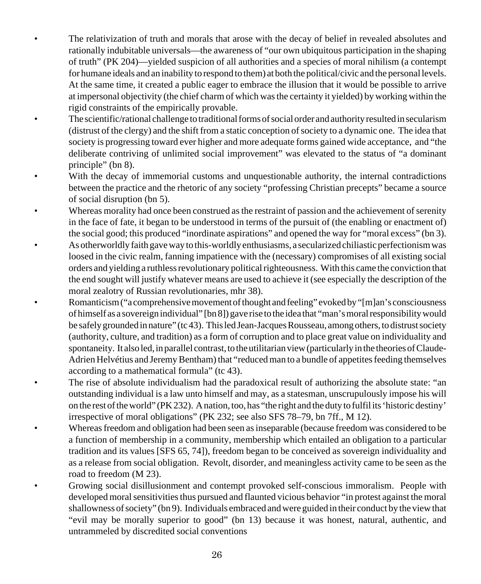- The relativization of truth and morals that arose with the decay of belief in revealed absolutes and rationally indubitable universals—the awareness of "our own ubiquitous participation in the shaping of truth" (PK 204)—yielded suspicion of all authorities and a species of moral nihilism (a contempt for humane ideals and an inability to respond to them) at both the political/civic and the personal levels. At the same time, it created a public eager to embrace the illusion that it would be possible to arrive at impersonal objectivity (the chief charm of which was the certainty it yielded) by working within the rigid constraints of the empirically provable.
- The scientific/rational challenge to traditional forms of social order and authority resulted in secularism (distrust of the clergy) and the shift from a static conception of society to a dynamic one. The idea that society is progressing toward ever higher and more adequate forms gained wide acceptance, and "the deliberate contriving of unlimited social improvement" was elevated to the status of "a dominant principle" (bn 8).
- With the decay of immemorial customs and unquestionable authority, the internal contradictions between the practice and the rhetoric of any society "professing Christian precepts" became a source of social disruption (bn 5).
- Whereas morality had once been construed as the restraint of passion and the achievement of serenity in the face of fate, it began to be understood in terms of the pursuit of (the enabling or enactment of) the social good; this produced "inordinate aspirations" and opened the way for "moral excess" (bn 3). • As otherworldly faith gave way to this-worldly enthusiasms, a secularized chiliastic perfectionism was loosed in the civic realm, fanning impatience with the (necessary) compromises of all existing social orders and yielding a ruthless revolutionary political righteousness. With this came the conviction that the end sought will justify whatever means are used to achieve it (see especially the description of the moral zealotry of Russian revolutionaries, mhr 38).
- Romanticism ("a comprehensive movement of thought and feeling" evoked by "[m]an's consciousness of himself as a sovereign individual" [bn 8]) gave rise to the idea that "man's moral responsibility would be safely grounded in nature" (tc 43). This led Jean-Jacques Rousseau, among others, to distrust society (authority, culture, and tradition) as a form of corruption and to place great value on individuality and spontaneity. It also led, in parallel contrast, to the utilitarian view (particularly in the theories of Claude-Adrien Helvétius and Jeremy Bentham) that "reduced man to a bundle of appetites feeding themselves according to a mathematical formula" (tc 43).
	- The rise of absolute individualism had the paradoxical result of authorizing the absolute state: "an outstanding individual is a law unto himself and may, as a statesman, unscrupulously impose his will on the rest of the world" (PK 232). A nation, too, has "the right and the duty to fulfil its 'historic destiny' irrespective of moral obligations" (PK 232; see also SFS 78–79, bn 7ff., M 12).
		- Whereas freedom and obligation had been seen as inseparable (because freedom was considered to be a function of membership in a community, membership which entailed an obligation to a particular tradition and its values [SFS 65, 74]), freedom began to be conceived as sovereign individuality and as a release from social obligation. Revolt, disorder, and meaningless activity came to be seen as the road to freedom (M 23).
		- Growing social disillusionment and contempt provoked self-conscious immoralism. People with developed moral sensitivities thus pursued and flaunted vicious behavior "in protest against the moral shallowness of society" (bn 9). Individuals embraced and were guided in their conduct by the view that "evil may be morally superior to good" (bn 13) because it was honest, natural, authentic, and untrammeled by discredited social conventions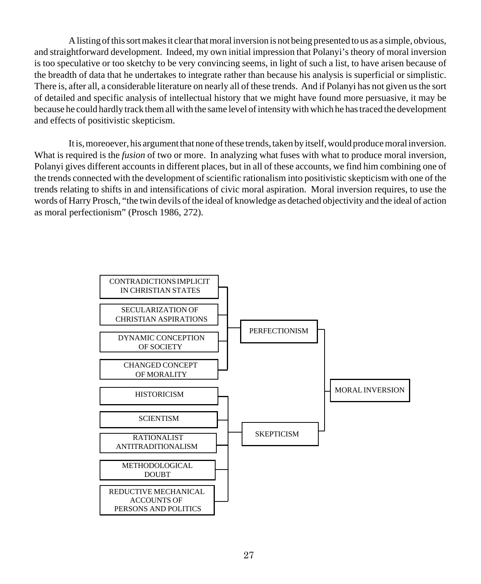A listing of this sort makes it clear that moral inversion is not being presented to us as a simple, obvious, and straightforward development. Indeed, my own initial impression that Polanyi's theory of moral inversion is too speculative or too sketchy to be very convincing seems, in light of such a list, to have arisen because of the breadth of data that he undertakes to integrate rather than because his analysis is superficial or simplistic. There is, after all, a considerable literature on nearly all of these trends. And if Polanyi has not given us the sort of detailed and specific analysis of intellectual history that we might have found more persuasive, it may be because he could hardly track them all with the same level of intensity with which he has traced the development and effects of positivistic skepticism.

It is, moreoever, his argument that none of these trends, taken by itself, would produce moral inversion. What is required is the *fusion* of two or more. In analyzing what fuses with what to produce moral inversion, Polanyi gives different accounts in different places, but in all of these accounts, we find him combining one of the trends connected with the development of scientific rationalism into positivistic skepticism with one of the trends relating to shifts in and intensifications of civic moral aspiration. Moral inversion requires, to use the words of Harry Prosch, "the twin devils of the ideal of knowledge as detached objectivity and the ideal of action as moral perfectionism" (Prosch 1986, 272).

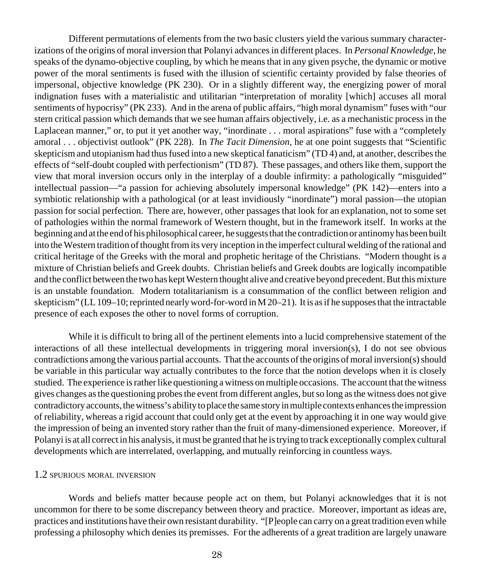Different permutations of elements from the two basic clusters yield the various summary characterizations of the origins of moral inversion that Polanyi advances in different places. In *Personal Knowledge,* he speaks of the dynamo-objective coupling, by which he means that in any given psyche, the dynamic or motive power of the moral sentiments is fused with the illusion of scientific certainty provided by false theories of impersonal, objective knowledge (PK 230). Or in a slightly different way, the energizing power of moral indignation fuses with a materialistic and utilitarian "interpretation of morality [which] accuses all moral sentiments of hypocrisy" (PK 233). And in the arena of public affairs, "high moral dynamism" fuses with "our stern critical passion which demands that we see human affairs objectively, i.e. as a mechanistic process in the Laplacean manner," or, to put it yet another way, "inordinate . . . moral aspirations" fuse with a "completely amoral . . . objectivist outlook" (PK 228). In *The Tacit Dimension,* he at one point suggests that "Scientific skepticism and utopianism had thus fused into a new skeptical fanaticism" (TD 4) and, at another, describes the effects of "self-doubt coupled with perfectionism" (TD 87). These passages, and others like them, support the view that moral inversion occurs only in the interplay of a double infirmity: a pathologically "misguided" intellectual passion—"a passion for achieving absolutely impersonal knowledge" (PK 142)—enters into a symbiotic relationship with a pathological (or at least invidiously "inordinate") moral passion—the utopian passion for social perfection. There are, however, other passages that look for an explanation, not to some set of pathologies within the normal framework of Western thought, but in the framework itself. In works at the beginning and at the end of his philosophical career, he suggests that the contradiction or antinomy has been built into the Western tradition of thought from its very inception in the imperfect cultural welding of the rational and critical heritage of the Greeks with the moral and prophetic heritage of the Christians. "Modern thought is a mixture of Christian beliefs and Greek doubts. Christian beliefs and Greek doubts are logically incompatible and the conflict between the two has kept Western thought alive and creative beyond precedent. But this mixture is an unstable foundation. Modern totalitarianism is a consummation of the conflict between religion and skepticism" (LL 109–10; reprinted nearly word-for-word in M 20–21). It is as if he supposes that the intractable presence of each exposes the other to novel forms of corruption.

While it is difficult to bring all of the pertinent elements into a lucid comprehensive statement of the interactions of all these intellectual developments in triggering moral inversion(s), I do not see obvious contradictions among the various partial accounts. That the accounts of the origins of moral inversion(s) should be variable in this particular way actually contributes to the force that the notion develops when it is closely studied. The experience is rather like questioning a witness on multiple occasions. The account that the witness gives changes as the questioning probes the event from different angles, but so long as the witness does not give contradictory accounts, the witness's ability to place the same story in multiple contexts enhances the impression of reliability, whereas a rigid account that could only get at the event by approaching it in one way would give the impression of being an invented story rather than the fruit of many-dimensioned experience. Moreover, if Polanyi is at all correct in his analysis, it must be granted that he is trying to track exceptionally complex cultural developments which are interrelated, overlapping, and mutually reinforcing in countless ways.

#### 1.2 SPURIOUS MORAL INVERSION

Words and beliefs matter because people act on them, but Polanyi acknowledges that it is not uncommon for there to be some discrepancy between theory and practice. Moreover, important as ideas are, practices and institutions have their own resistant durability. "[P]eople can carry on a great tradition even while professing a philosophy which denies its premisses. For the adherents of a great tradition are largely unaware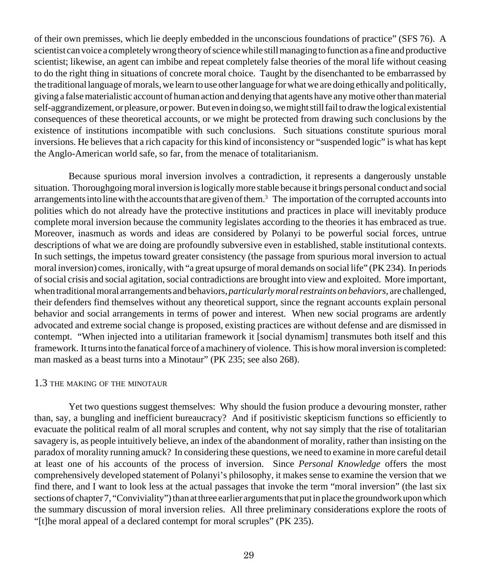of their own premisses, which lie deeply embedded in the unconscious foundations of practice" (SFS 76). A scientist can voice a completely wrong theory of science while still managing to function as a fine and productive scientist; likewise, an agent can imbibe and repeat completely false theories of the moral life without ceasing to do the right thing in situations of concrete moral choice. Taught by the disenchanted to be embarrassed by the traditional language of morals, we learn to use other language for what we are doing ethically and politically, giving a false materialistic account of human action and denying that agents have any motive other than material self-aggrandizement, or pleasure, or power. But even in doing so, we might still fail to draw the logical existential consequences of these theoretical accounts, or we might be protected from drawing such conclusions by the existence of institutions incompatible with such conclusions. Such situations constitute spurious moral inversions. He believes that a rich capacity for this kind of inconsistency or "suspended logic" is what has kept the Anglo-American world safe, so far, from the menace of totalitarianism.

Because spurious moral inversion involves a contradiction, it represents a dangerously unstable situation. Thoroughgoing moral inversion is logically more stable because it brings personal conduct and social arrangements into line with the accounts that are given of them.<sup>3</sup> The importation of the corrupted accounts into polities which do not already have the protective institutions and practices in place will inevitably produce complete moral inversion because the community legislates according to the theories it has embraced as true. Moreover, inasmuch as words and ideas are considered by Polanyi to be powerful social forces, untrue descriptions of what we are doing are profoundly subversive even in established, stable institutional contexts. In such settings, the impetus toward greater consistency (the passage from spurious moral inversion to actual moral inversion) comes, ironically, with "a great upsurge of moral demands on social life" (PK 234). In periods of social crisis and social agitation, social contradictions are brought into view and exploited. More important, when traditional moral arrangements and behaviors, *particularly moral restraints on behaviors,* are challenged, their defenders find themselves without any theoretical support, since the regnant accounts explain personal behavior and social arrangements in terms of power and interest. When new social programs are ardently advocated and extreme social change is proposed, existing practices are without defense and are dismissed in contempt. "When injected into a utilitarian framework it [social dynamism] transmutes both itself and this framework. It turns into the fanatical force of a machinery of violence. This is how moral inversion is completed: man masked as a beast turns into a Minotaur" (PK 235; see also 268).

#### 1.3 THE MAKING OF THE MINOTAUR

Yet two questions suggest themselves: Why should the fusion produce a devouring monster, rather than, say, a bungling and inefficient bureaucracy? And if positivistic skepticism functions so efficiently to evacuate the political realm of all moral scruples and content, why not say simply that the rise of totalitarian savagery is, as people intuitively believe, an index of the abandonment of morality, rather than insisting on the paradox of morality running amuck? In considering these questions, we need to examine in more careful detail at least one of his accounts of the process of inversion. Since *Personal Knowledge* offers the most comprehensively developed statement of Polanyi's philosophy, it makes sense to examine the version that we find there, and I want to look less at the actual passages that invoke the term "moral inversion" (the last six sections of chapter 7, "Conviviality") than at three earlier arguments that put in place the groundwork upon which the summary discussion of moral inversion relies. All three preliminary considerations explore the roots of "[t]he moral appeal of a declared contempt for moral scruples" (PK 235).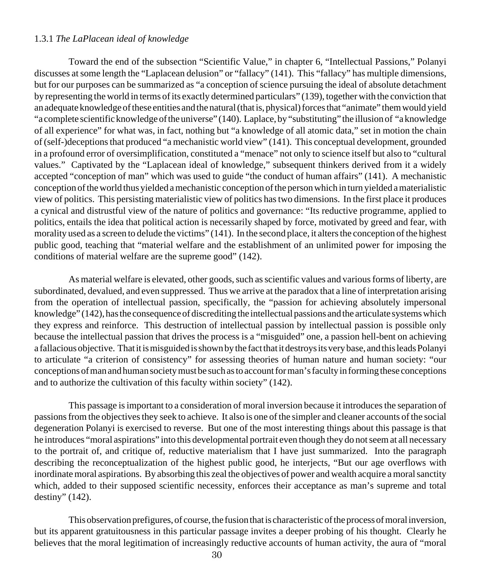#### 1.3.1 *The LaPlacean ideal of knowledge*

Toward the end of the subsection "Scientific Value," in chapter 6, "Intellectual Passions," Polanyi discusses at some length the "Laplacean delusion" or "fallacy" (141). This "fallacy" has multiple dimensions, but for our purposes can be summarized as "a conception of science pursuing the ideal of absolute detachment by representing the world in terms of its exactly determined particulars" (139), together with the conviction that an adequate knowledge of these entities and the natural (that is, physical) forces that "animate" them would yield "a complete scientific knowledge of the universe" (140). Laplace, by "substituting" the illusion of "a knowledge of all experience" for what was, in fact, nothing but "a knowledge of all atomic data," set in motion the chain of (self-)deceptions that produced "a mechanistic world view" (141). This conceptual development, grounded in a profound error of oversimplification, constituted a "menace" not only to science itself but also to "cultural values." Captivated by the "Laplacean ideal of knowledge," subsequent thinkers derived from it a widely accepted "conception of man" which was used to guide "the conduct of human affairs" (141). A mechanistic conception of the world thus yielded a mechanistic conception of the person which in turn yielded a materialistic view of politics. This persisting materialistic view of politics has two dimensions. In the first place it produces a cynical and distrustful view of the nature of politics and governance: "Its reductive programme, applied to politics, entails the idea that political action is necessarily shaped by force, motivated by greed and fear, with morality used as a screen to delude the victims" (141). In the second place, it alters the conception of the highest public good, teaching that "material welfare and the establishment of an unlimited power for imposing the conditions of material welfare are the supreme good" (142).

As material welfare is elevated, other goods, such as scientific values and various forms of liberty, are subordinated, devalued, and even suppressed. Thus we arrive at the paradox that a line of interpretation arising from the operation of intellectual passion, specifically, the "passion for achieving absolutely impersonal knowledge" (142), has the consequence of discrediting the intellectual passions and the articulate systems which they express and reinforce. This destruction of intellectual passion by intellectual passion is possible only because the intellectual passion that drives the process is a "misguided" one, a passion hell-bent on achieving a fallacious objective. That it is misguided is shown by the fact that it destroys its very base, and this leads Polanyi to articulate "a criterion of consistency" for assessing theories of human nature and human society: "our conceptions of man and human society must be such as to account for man's faculty in forming these conceptions and to authorize the cultivation of this faculty within society" (142).

This passage is important to a consideration of moral inversion because it introduces the separation of passions from the objectives they seek to achieve. It also is one of the simpler and cleaner accounts of the social degeneration Polanyi is exercised to reverse. But one of the most interesting things about this passage is that he introduces "moral aspirations" into this developmental portrait even though they do not seem at all necessary to the portrait of, and critique of, reductive materialism that I have just summarized. Into the paragraph describing the reconceptualization of the highest public good, he interjects, "But our age overflows with inordinate moral aspirations. By absorbing this zeal the objectives of power and wealth acquire a moral sanctity which, added to their supposed scientific necessity, enforces their acceptance as man's supreme and total destiny" (142).

This observation prefigures, of course, the fusion that is characteristic of the process of moral inversion, but its apparent gratuitousness in this particular passage invites a deeper probing of his thought. Clearly he believes that the moral legitimation of increasingly reductive accounts of human activity, the aura of "moral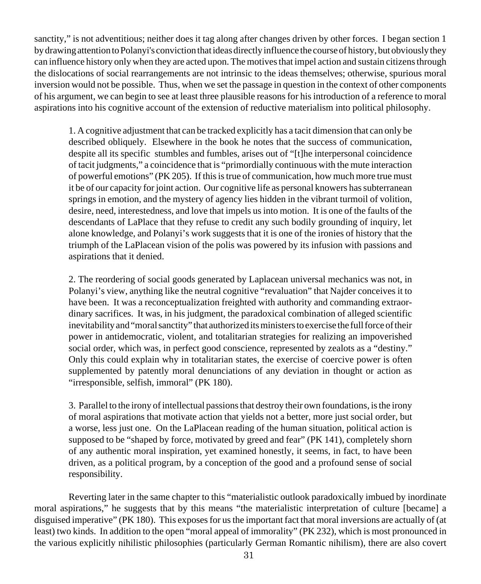sanctity," is not adventitious; neither does it tag along after changes driven by other forces. I began section 1 by drawing attention to Polanyi's conviction that ideas directly influence the course of history, but obviously they can influence history only when they are acted upon. The motives that impel action and sustain citizens through the dislocations of social rearrangements are not intrinsic to the ideas themselves; otherwise, spurious moral inversion would not be possible. Thus, when we set the passage in question in the context of other components of his argument, we can begin to see at least three plausible reasons for his introduction of a reference to moral aspirations into his cognitive account of the extension of reductive materialism into political philosophy.

1. A cognitive adjustment that can be tracked explicitly has a tacit dimension that can only be described obliquely. Elsewhere in the book he notes that the success of communication, despite all its specific stumbles and fumbles, arises out of "[t]he interpersonal coincidence of tacit judgments," a coincidence that is "primordially continuous with the mute interaction of powerful emotions" (PK 205). If this is true of communication, how much more true must it be of our capacity for joint action. Our cognitive life as personal knowers has subterranean springs in emotion, and the mystery of agency lies hidden in the vibrant turmoil of volition, desire, need, interestedness, and love that impels us into motion. It is one of the faults of the descendants of LaPlace that they refuse to credit any such bodily grounding of inquiry, let alone knowledge, and Polanyi's work suggests that it is one of the ironies of history that the triumph of the LaPlacean vision of the polis was powered by its infusion with passions and aspirations that it denied.

2. The reordering of social goods generated by Laplacean universal mechanics was not, in Polanyi's view, anything like the neutral cognitive "revaluation" that Najder conceives it to have been. It was a reconceptualization freighted with authority and commanding extraordinary sacrifices. It was, in his judgment, the paradoxical combination of alleged scientific inevitability and "moral sanctity" that authorized its ministers to exercise the full force of their power in antidemocratic, violent, and totalitarian strategies for realizing an impoverished social order, which was, in perfect good conscience, represented by zealots as a "destiny." Only this could explain why in totalitarian states, the exercise of coercive power is often supplemented by patently moral denunciations of any deviation in thought or action as "irresponsible, selfish, immoral" (PK 180).

3. Parallel to the irony of intellectual passions that destroy their own foundations, is the irony of moral aspirations that motivate action that yields not a better, more just social order, but a worse, less just one. On the LaPlacean reading of the human situation, political action is supposed to be "shaped by force, motivated by greed and fear" (PK 141), completely shorn of any authentic moral inspiration, yet examined honestly, it seems, in fact, to have been driven, as a political program, by a conception of the good and a profound sense of social responsibility.

Reverting later in the same chapter to this "materialistic outlook paradoxically imbued by inordinate moral aspirations," he suggests that by this means "the materialistic interpretation of culture [became] a disguised imperative" (PK 180). This exposes for us the important fact that moral inversions are actually of (at least) two kinds. In addition to the open "moral appeal of immorality" (PK 232), which is most pronounced in the various explicitly nihilistic philosophies (particularly German Romantic nihilism), there are also covert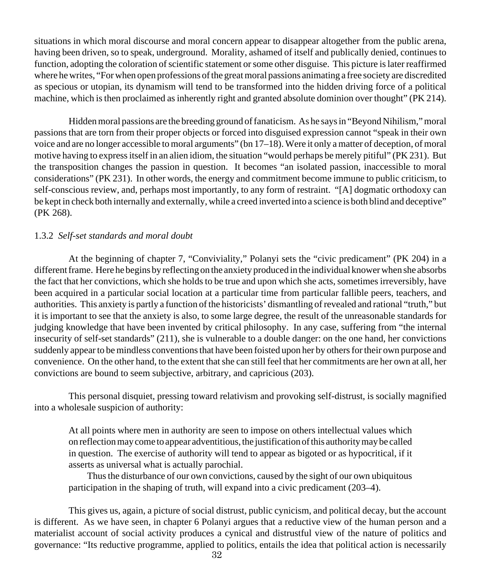situations in which moral discourse and moral concern appear to disappear altogether from the public arena, having been driven, so to speak, underground. Morality, ashamed of itself and publically denied, continues to function, adopting the coloration of scientific statement or some other disguise. This picture is later reaffirmed where he writes, "For when open professions of the great moral passions animating a free society are discredited as specious or utopian, its dynamism will tend to be transformed into the hidden driving force of a political machine, which is then proclaimed as inherently right and granted absolute dominion over thought" (PK 214).

Hidden moral passions are the breeding ground of fanaticism. As he says in "Beyond Nihilism," moral passions that are torn from their proper objects or forced into disguised expression cannot "speak in their own voice and are no longer accessible to moral arguments" (bn 17–18). Were it only a matter of deception, of moral motive having to express itself in an alien idiom, the situation "would perhaps be merely pitiful" (PK 231). But the transposition changes the passion in question. It becomes "an isolated passion, inaccessible to moral considerations" (PK 231). In other words, the energy and commitment become immune to public criticism, to self-conscious review, and, perhaps most importantly, to any form of restraint. "[A] dogmatic orthodoxy can be kept in check both internally and externally, while a creed inverted into a science is both blind and deceptive" (PK 268).

## 1.3.2 *Self-set standards and moral doubt*

At the beginning of chapter 7, "Conviviality," Polanyi sets the "civic predicament" (PK 204) in a different frame. Here he begins by reflecting on the anxiety produced in the individual knower when she absorbs the fact that her convictions, which she holds to be true and upon which she acts, sometimes irreversibly, have been acquired in a particular social location at a particular time from particular fallible peers, teachers, and authorities. This anxiety is partly a function of the historicists' dismantling of revealed and rational "truth," but it is important to see that the anxiety is also, to some large degree, the result of the unreasonable standards for judging knowledge that have been invented by critical philosophy. In any case, suffering from "the internal insecurity of self-set standards" (211), she is vulnerable to a double danger: on the one hand, her convictions suddenly appear to be mindless conventions that have been foisted upon her by others for their own purpose and convenience. On the other hand, to the extent that she can still feel that her commitments are her own at all, her convictions are bound to seem subjective, arbitrary, and capricious (203).

This personal disquiet, pressing toward relativism and provoking self-distrust, is socially magnified into a wholesale suspicion of authority:

At all points where men in authority are seen to impose on others intellectual values which on reflection may come to appear adventitious, the justification of this authority may be called in question. The exercise of authority will tend to appear as bigoted or as hypocritical, if it asserts as universal what is actually parochial.

 Thus the disturbance of our own convictions, caused by the sight of our own ubiquitous participation in the shaping of truth, will expand into a civic predicament (203–4).

This gives us, again, a picture of social distrust, public cynicism, and political decay, but the account is different. As we have seen, in chapter 6 Polanyi argues that a reductive view of the human person and a materialist account of social activity produces a cynical and distrustful view of the nature of politics and governance: "Its reductive programme, applied to politics, entails the idea that political action is necessarily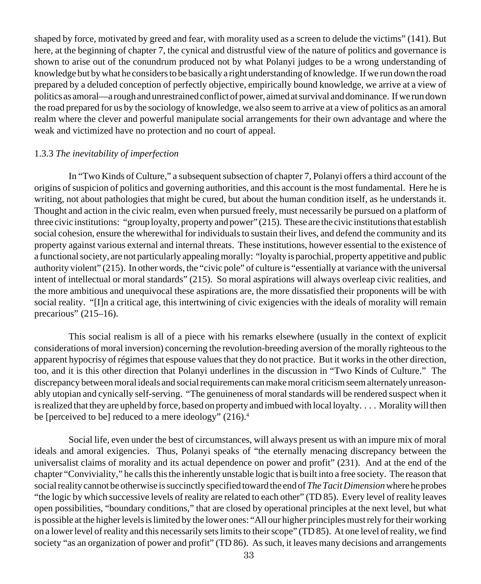shaped by force, motivated by greed and fear, with morality used as a screen to delude the victims" (141). But here, at the beginning of chapter 7, the cynical and distrustful view of the nature of politics and governance is shown to arise out of the conundrum produced not by what Polanyi judges to be a wrong understanding of knowledge but by what he considers to be basically a right understanding of knowledge. If we run down the road prepared by a deluded conception of perfectly objective, empirically bound knowledge, we arrive at a view of politics as amoral—a rough and unrestrained conflict of power, aimed at survival and dominance. If we run down the road prepared for us by the sociology of knowledge, we also seem to arrive at a view of politics as an amoral realm where the clever and powerful manipulate social arrangements for their own advantage and where the weak and victimized have no protection and no court of appeal.

#### 1.3.3 *The inevitability of imperfection*

In "Two Kinds of Culture," a subsequent subsection of chapter 7, Polanyi offers a third account of the origins of suspicion of politics and governing authorities, and this account is the most fundamental. Here he is writing, not about pathologies that might be cured, but about the human condition itself, as he understands it. Thought and action in the civic realm, even when pursued freely, must necessarily be pursued on a platform of three civic institutions: "group loyalty, property and power" (215). These are the civic institutions that establish social cohesion, ensure the wherewithal for individuals to sustain their lives, and defend the community and its property against various external and internal threats. These institutions, however essential to the existence of a functional society, are not particularly appealing morally: "loyalty is parochial, property appetitive and public authority violent" (215). In other words, the "civic pole" of culture is "essentially at variance with the universal intent of intellectual or moral standards" (215). So moral aspirations will always overleap civic realities, and the more ambitious and unequivocal these aspirations are, the more dissatisfied their proponents will be with social reality. "[I]n a critical age, this intertwining of civic exigencies with the ideals of morality will remain precarious" (215–16).

This social realism is all of a piece with his remarks elsewhere (usually in the context of explicit considerations of moral inversion) concerning the revolution-breeding aversion of the morally righteous to the apparent hypocrisy of régimes that espouse values that they do not practice. But it works in the other direction, too, and it is this other direction that Polanyi underlines in the discussion in "Two Kinds of Culture." The discrepancy between moral ideals and social requirements can make moral criticism seem alternately unreasonably utopian and cynically self-serving. "The genuineness of moral standards will be rendered suspect when it is realized that they are upheld by force, based on property and imbued with local loyalty. . . . Morality will then be [perceived to be] reduced to a mere ideology" (216).<sup>4</sup>

Social life, even under the best of circumstances, will always present us with an impure mix of moral ideals and amoral exigencies. Thus, Polanyi speaks of "the eternally menacing discrepancy between the universalist claims of morality and its actual dependence on power and profit" (231). And at the end of the chapter "Conviviality," he calls this the inherently unstable logic that is built into a free society. The reason that social reality cannot be otherwise is succinctly specified toward the end of *The Tacit Dimension* where he probes "the logic by which successive levels of reality are related to each other" (TD 85). Every level of reality leaves open possibilities, "boundary conditions," that are closed by operational principles at the next level, but what is possible at the higher levels is limited by the lower ones: "All our higher principles must rely for their working on a lower level of reality and this necessarily sets limits to their scope" (TD 85). At one level of reality, we find society "as an organization of power and profit" (TD 86). As such, it leaves many decisions and arrangements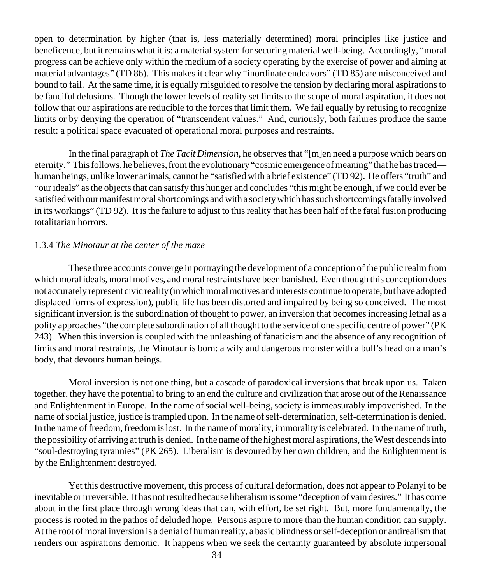open to determination by higher (that is, less materially determined) moral principles like justice and beneficence, but it remains what it is: a material system for securing material well-being. Accordingly, "moral progress can be achieve only within the medium of a society operating by the exercise of power and aiming at material advantages" (TD 86). This makes it clear why "inordinate endeavors" (TD 85) are misconceived and bound to fail. At the same time, it is equally misguided to resolve the tension by declaring moral aspirations to be fanciful delusions. Though the lower levels of reality set limits to the scope of moral aspiration, it does not follow that our aspirations are reducible to the forces that limit them. We fail equally by refusing to recognize limits or by denying the operation of "transcendent values." And, curiously, both failures produce the same result: a political space evacuated of operational moral purposes and restraints.

In the final paragraph of *The Tacit Dimension*, he observes that "[m]en need a purpose which bears on eternity." This follows, he believes, from the evolutionary "cosmic emergence of meaning" that he has traced human beings, unlike lower animals, cannot be "satisfied with a brief existence" (TD 92). He offers "truth" and "our ideals" as the objects that can satisfy this hunger and concludes "this might be enough, if we could ever be satisfied with our manifest moral shortcomings and with a society which has such shortcomings fatally involved in its workings" (TD 92). It is the failure to adjust to this reality that has been half of the fatal fusion producing totalitarian horrors.

## 1.3.4 *The Minotaur at the center of the maze*

These three accounts converge in portraying the development of a conception of the public realm from which moral ideals, moral motives, and moral restraints have been banished. Even though this conception does not accurately represent civic reality (in which moral motives and interests continue to operate, but have adopted displaced forms of expression), public life has been distorted and impaired by being so conceived. The most significant inversion is the subordination of thought to power, an inversion that becomes increasing lethal as a polity approaches "the complete subordination of all thought to the service of one specific centre of power" (PK 243). When this inversion is coupled with the unleashing of fanaticism and the absence of any recognition of limits and moral restraints, the Minotaur is born: a wily and dangerous monster with a bull's head on a man's body, that devours human beings.

Moral inversion is not one thing, but a cascade of paradoxical inversions that break upon us. Taken together, they have the potential to bring to an end the culture and civilization that arose out of the Renaissance and Enlightenment in Europe. In the name of social well-being, society is immeasurably impoverished. In the name of social justice, justice is trampled upon. In the name of self-determination, self-determination is denied. In the name of freedom, freedom is lost. In the name of morality, immorality is celebrated. In the name of truth, the possibility of arriving at truth is denied. In the name of the highest moral aspirations, the West descends into "soul-destroying tyrannies" (PK 265). Liberalism is devoured by her own children, and the Enlightenment is by the Enlightenment destroyed.

Yet this destructive movement, this process of cultural deformation, does not appear to Polanyi to be inevitable or irreversible. It has not resulted because liberalism is some "deception of vain desires." It has come about in the first place through wrong ideas that can, with effort, be set right. But, more fundamentally, the process is rooted in the pathos of deluded hope. Persons aspire to more than the human condition can supply. At the root of moral inversion is a denial of human reality, a basic blindness or self-deception or antirealism that renders our aspirations demonic. It happens when we seek the certainty guaranteed by absolute impersonal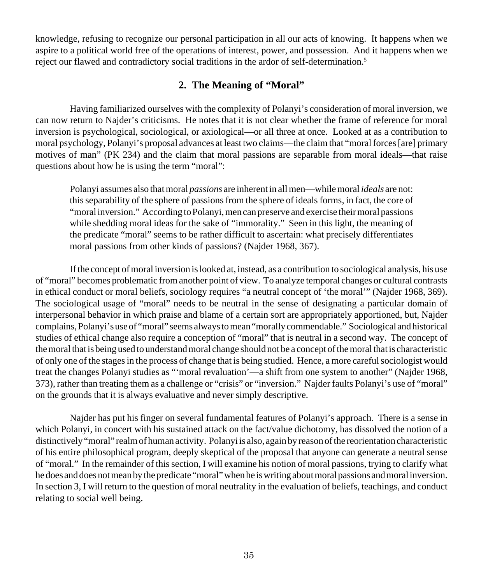knowledge, refusing to recognize our personal participation in all our acts of knowing. It happens when we aspire to a political world free of the operations of interest, power, and possession. And it happens when we reject our flawed and contradictory social traditions in the ardor of self-determination.5

## **2. The Meaning of "Moral"**

Having familiarized ourselves with the complexity of Polanyi's consideration of moral inversion, we can now return to Najder's criticisms. He notes that it is not clear whether the frame of reference for moral inversion is psychological, sociological, or axiological—or all three at once. Looked at as a contribution to moral psychology, Polanyi's proposal advances at least two claims—the claim that "moral forces [are] primary motives of man" (PK 234) and the claim that moral passions are separable from moral ideals—that raise questions about how he is using the term "moral":

Polanyi assumes also that moral *passions* are inherent in all men—while moral *ideals* are not: this separability of the sphere of passions from the sphere of ideals forms, in fact, the core of "moral inversion." According to Polanyi, men can preserve and exercise their moral passions while shedding moral ideas for the sake of "immorality." Seen in this light, the meaning of the predicate "moral" seems to be rather difficult to ascertain: what precisely differentiates moral passions from other kinds of passions? (Najder 1968, 367).

If the concept of moral inversion is looked at, instead, as a contribution to sociological analysis, his use of "moral" becomes problematic from another point of view. To analyze temporal changes or cultural contrasts in ethical conduct or moral beliefs, sociology requires "a neutral concept of 'the moral'" (Najder 1968, 369). The sociological usage of "moral" needs to be neutral in the sense of designating a particular domain of interpersonal behavior in which praise and blame of a certain sort are appropriately apportioned, but, Najder complains, Polanyi's use of "moral" seems always to mean "morally commendable." Sociological and historical studies of ethical change also require a conception of "moral" that is neutral in a second way. The concept of the moral that is being used to understand moral change should not be a concept of the moral that is characteristic of only one of the stages in the process of change that is being studied. Hence, a more careful sociologist would treat the changes Polanyi studies as "'moral revaluation'—a shift from one system to another" (Najder 1968, 373), rather than treating them as a challenge or "crisis" or "inversion." Najder faults Polanyi's use of "moral" on the grounds that it is always evaluative and never simply descriptive.

Najder has put his finger on several fundamental features of Polanyi's approach. There is a sense in which Polanyi, in concert with his sustained attack on the fact/value dichotomy, has dissolved the notion of a distinctively "moral" realm of human activity. Polanyi is also, again by reason of the reorientation characteristic of his entire philosophical program, deeply skeptical of the proposal that anyone can generate a neutral sense of "moral." In the remainder of this section, I will examine his notion of moral passions, trying to clarify what he does and does not mean by the predicate "moral" when he is writing about moral passions and moral inversion. In section 3, I will return to the question of moral neutrality in the evaluation of beliefs, teachings, and conduct relating to social well being.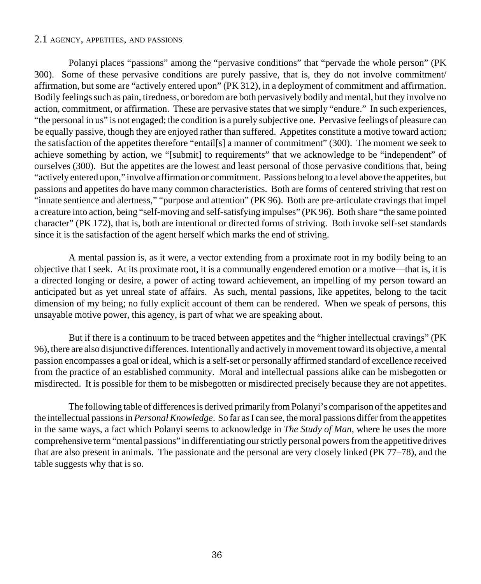#### 2.1 AGENCY, APPETITES, AND PASSIONS

Polanyi places "passions" among the "pervasive conditions" that "pervade the whole person" (PK 300). Some of these pervasive conditions are purely passive, that is, they do not involve commitment/ affirmation, but some are "actively entered upon" (PK 312), in a deployment of commitment and affirmation. Bodily feelings such as pain, tiredness, or boredom are both pervasively bodily and mental, but they involve no action, commitment, or affirmation. These are pervasive states that we simply "endure." In such experiences, "the personal in us" is not engaged; the condition is a purely subjective one. Pervasive feelings of pleasure can be equally passive, though they are enjoyed rather than suffered. Appetites constitute a motive toward action; the satisfaction of the appetites therefore "entail[s] a manner of commitment" (300). The moment we seek to achieve something by action, we "[submit] to requirements" that we acknowledge to be "independent" of ourselves (300). But the appetites are the lowest and least personal of those pervasive conditions that, being "actively entered upon," involve affirmation or commitment. Passions belong to a level above the appetites, but passions and appetites do have many common characteristics. Both are forms of centered striving that rest on "innate sentience and alertness," "purpose and attention" (PK 96). Both are pre-articulate cravings that impel a creature into action, being "self-moving and self-satisfying impulses" (PK 96). Both share "the same pointed character" (PK 172), that is, both are intentional or directed forms of striving. Both invoke self-set standards since it is the satisfaction of the agent herself which marks the end of striving.

A mental passion is, as it were, a vector extending from a proximate root in my bodily being to an objective that I seek. At its proximate root, it is a communally engendered emotion or a motive—that is, it is a directed longing or desire, a power of acting toward achievement, an impelling of my person toward an anticipated but as yet unreal state of affairs. As such, mental passions, like appetites, belong to the tacit dimension of my being; no fully explicit account of them can be rendered. When we speak of persons, this unsayable motive power, this agency, is part of what we are speaking about.

But if there is a continuum to be traced between appetites and the "higher intellectual cravings" (PK 96), there are also disjunctive differences. Intentionally and actively in movement toward its objective, a mental passion encompasses a goal or ideal, which is a self-set or personally affirmed standard of excellence received from the practice of an established community. Moral and intellectual passions alike can be misbegotten or misdirected. It is possible for them to be misbegotten or misdirected precisely because they are not appetites.

The following table of differences is derived primarily from Polanyi's comparison of the appetites and the intellectual passions in *Personal Knowledge*. So far as I can see, the moral passions differ from the appetites in the same ways, a fact which Polanyi seems to acknowledge in *The Study of Man*, where he uses the more comprehensive term "mental passions" in differentiating our strictly personal powers from the appetitive drives that are also present in animals. The passionate and the personal are very closely linked (PK 77–78), and the table suggests why that is so.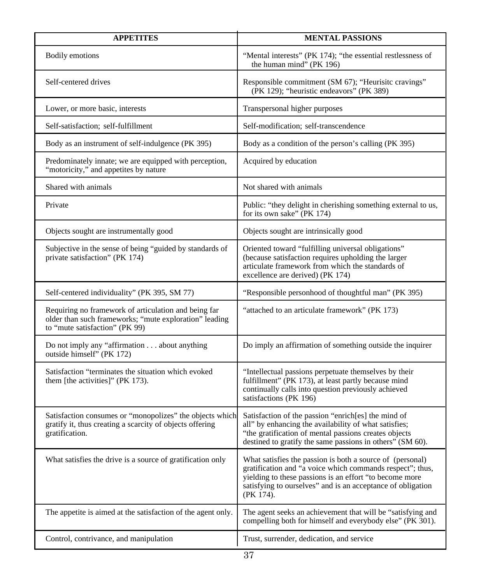| <b>APPETITES</b>                                                                                                                                 | <b>MENTAL PASSIONS</b>                                                                                                                                                                                                                                        |
|--------------------------------------------------------------------------------------------------------------------------------------------------|---------------------------------------------------------------------------------------------------------------------------------------------------------------------------------------------------------------------------------------------------------------|
| Bodily emotions                                                                                                                                  | "Mental interests" (PK 174); "the essential restlessness of<br>the human mind" (PK 196)                                                                                                                                                                       |
| Self-centered drives                                                                                                                             | Responsible commitment (SM 67); "Heurisitc cravings"<br>(PK 129); "heuristic endeavors" (PK 389)                                                                                                                                                              |
| Lower, or more basic, interests                                                                                                                  | Transpersonal higher purposes                                                                                                                                                                                                                                 |
| Self-satisfaction; self-fulfillment                                                                                                              | Self-modification; self-transcendence                                                                                                                                                                                                                         |
| Body as an instrument of self-indulgence (PK 395)                                                                                                | Body as a condition of the person's calling (PK 395)                                                                                                                                                                                                          |
| Predominately innate; we are equipped with perception,<br>"motoricity," and appetites by nature                                                  | Acquired by education                                                                                                                                                                                                                                         |
| Shared with animals                                                                                                                              | Not shared with animals                                                                                                                                                                                                                                       |
| Private                                                                                                                                          | Public: "they delight in cherishing something external to us,<br>for its own sake" (PK 174)                                                                                                                                                                   |
| Objects sought are instrumentally good                                                                                                           | Objects sought are intrinsically good                                                                                                                                                                                                                         |
| Subjective in the sense of being "guided by standards of<br>private satisfaction" (PK 174)                                                       | Oriented toward "fulfilling universal obligations"<br>(because satisfaction requires upholding the larger<br>articulate framework from which the standards of<br>excellence are derived) (PK 174)                                                             |
| Self-centered individuality" (PK 395, SM 77)                                                                                                     | "Responsible personhood of thoughtful man" (PK 395)                                                                                                                                                                                                           |
| Requiring no framework of articulation and being far<br>older than such frameworks; "mute exploration" leading<br>to "mute satisfaction" (PK 99) | "attached to an articulate framework" (PK 173)                                                                                                                                                                                                                |
| Do not imply any "affirmation about anything<br>outside himself" (PK 172)                                                                        | Do imply an affirmation of something outside the inquirer                                                                                                                                                                                                     |
| Satisfaction "terminates the situation which evoked<br>them [the activities]" (PK 173).                                                          | "Intellectual passions perpetuate themselves by their<br>fulfillment" (PK 173), at least partly because mind<br>continually calls into question previously achieved<br>satisfactions (PK 196)                                                                 |
| Satisfaction consumes or "monopolizes" the objects which<br>gratify it, thus creating a scarcity of objects offering<br>gratification.           | Satisfaction of the passion "enrich[es] the mind of<br>all" by enhancing the availability of what satisfies;<br>"the gratification of mental passions creates objects<br>destined to gratify the same passions in others" (SM 60).                            |
| What satisfies the drive is a source of gratification only                                                                                       | What satisfies the passion is both a source of (personal)<br>gratification and "a voice which commands respect"; thus,<br>yielding to these passions is an effort "to become more<br>satisfying to ourselves" and is an acceptance of obligation<br>(PK 174). |
| The appetite is aimed at the satisfaction of the agent only.                                                                                     | The agent seeks an achievement that will be "satisfying and<br>compelling both for himself and everybody else" (PK 301).                                                                                                                                      |
| Control, contrivance, and manipulation                                                                                                           | Trust, surrender, dedication, and service                                                                                                                                                                                                                     |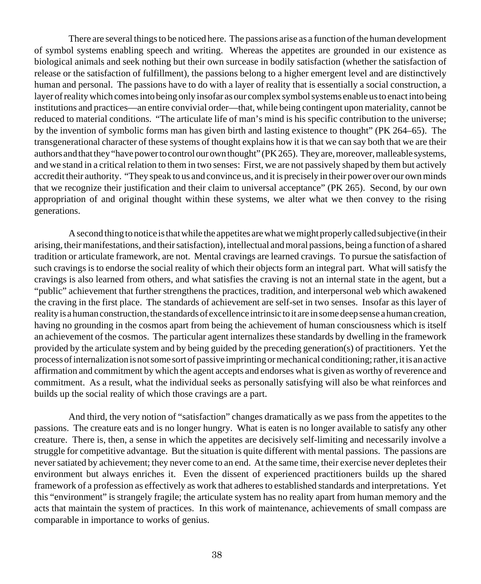There are several things to be noticed here. The passions arise as a function of the human development of symbol systems enabling speech and writing. Whereas the appetites are grounded in our existence as biological animals and seek nothing but their own surcease in bodily satisfaction (whether the satisfaction of release or the satisfaction of fulfillment), the passions belong to a higher emergent level and are distinctively human and personal. The passions have to do with a layer of reality that is essentially a social construction, a layer of reality which comes into being only insofar as our complex symbol systems enable us to enact into being institutions and practices—an entire convivial order—that, while being contingent upon materiality, cannot be reduced to material conditions. "The articulate life of man's mind is his specific contribution to the universe; by the invention of symbolic forms man has given birth and lasting existence to thought" (PK 264–65). The transgenerational character of these systems of thought explains how it is that we can say both that we are their authors and that they "have power to control our own thought" (PK 265). They are, moreover, malleable systems, and we stand in a critical relation to them in two senses: First, we are not passively shaped by them but actively accredit their authority. "They speak to us and convince us, and it is precisely in their power over our own minds that we recognize their justification and their claim to universal acceptance" (PK 265). Second, by our own appropriation of and original thought within these systems, we alter what we then convey to the rising generations.

A second thing to notice is that while the appetites are what we might properly called subjective (in their arising, their manifestations, and their satisfaction), intellectual and moral passions, being a function of a shared tradition or articulate framework, are not. Mental cravings are learned cravings. To pursue the satisfaction of such cravings is to endorse the social reality of which their objects form an integral part. What will satisfy the cravings is also learned from others, and what satisfies the craving is not an internal state in the agent, but a "public" achievement that further strengthens the practices, tradition, and interpersonal web which awakened the craving in the first place. The standards of achievement are self-set in two senses. Insofar as this layer of reality is a human construction, the standards of excellence intrinsic to it are in some deep sense a human creation, having no grounding in the cosmos apart from being the achievement of human consciousness which is itself an achievement of the cosmos. The particular agent internalizes these standards by dwelling in the framework provided by the articulate system and by being guided by the preceding generation(s) of practitioners. Yet the process of internalization is not some sort of passive imprinting or mechanical conditioning; rather, it is an active affirmation and commitment by which the agent accepts and endorses what is given as worthy of reverence and commitment. As a result, what the individual seeks as personally satisfying will also be what reinforces and builds up the social reality of which those cravings are a part.

And third, the very notion of "satisfaction" changes dramatically as we pass from the appetites to the passions. The creature eats and is no longer hungry. What is eaten is no longer available to satisfy any other creature. There is, then, a sense in which the appetites are decisively self-limiting and necessarily involve a struggle for competitive advantage. But the situation is quite different with mental passions. The passions are never satiated by achievement; they never come to an end. At the same time, their exercise never depletes their environment but always enriches it. Even the dissent of experienced practitioners builds up the shared framework of a profession as effectively as work that adheres to established standards and interpretations. Yet this "environment" is strangely fragile; the articulate system has no reality apart from human memory and the acts that maintain the system of practices. In this work of maintenance, achievements of small compass are comparable in importance to works of genius.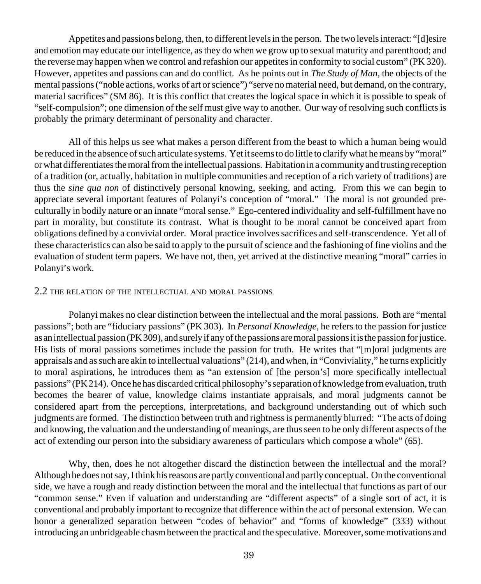Appetites and passions belong, then, to different levels in the person. The two levels interact: "[d]esire and emotion may educate our intelligence, as they do when we grow up to sexual maturity and parenthood; and the reverse may happen when we control and refashion our appetites in conformity to social custom" (PK 320). However, appetites and passions can and do conflict. As he points out in *The Study of Man,* the objects of the mental passions ("noble actions, works of art or science") "serve no material need, but demand, on the contrary, material sacrifices" (SM 86). It is this conflict that creates the logical space in which it is possible to speak of "self-compulsion"; one dimension of the self must give way to another. Our way of resolving such conflicts is probably the primary determinant of personality and character.

All of this helps us see what makes a person different from the beast to which a human being would be reduced in the absence of such articulate systems. Yet it seems to do little to clarify what he means by "moral" or what differentiates the moral from the intellectual passions. Habitation in a community and trusting reception of a tradition (or, actually, habitation in multiple communities and reception of a rich variety of traditions) are thus the *sine qua non* of distinctively personal knowing, seeking, and acting. From this we can begin to appreciate several important features of Polanyi's conception of "moral." The moral is not grounded preculturally in bodily nature or an innate "moral sense." Ego-centered individuality and self-fulfillment have no part in morality, but constitute its contrast. What is thought to be moral cannot be conceived apart from obligations defined by a convivial order. Moral practice involves sacrifices and self-transcendence. Yet all of these characteristics can also be said to apply to the pursuit of science and the fashioning of fine violins and the evaluation of student term papers. We have not, then, yet arrived at the distinctive meaning "moral" carries in Polanyi's work.

#### 2.2 THE RELATION OF THE INTELLECTUAL AND MORAL PASSIONS

Polanyi makes no clear distinction between the intellectual and the moral passions. Both are "mental passions"; both are "fiduciary passions" (PK 303). In *Personal Knowledge,* he refers to the passion for justice as an intellectual passion (PK 309), and surely if any of the passions are moral passions it is the passion for justice. His lists of moral passions sometimes include the passion for truth. He writes that "[m]oral judgments are appraisals and as such are akin to intellectual valuations" (214), and when, in "Conviviality," he turns explicitly to moral aspirations, he introduces them as "an extension of [the person's] more specifically intellectual passions" (PK 214). Once he has discarded critical philosophy's separation of knowledge from evaluation, truth becomes the bearer of value, knowledge claims instantiate appraisals, and moral judgments cannot be considered apart from the perceptions, interpretations, and background understanding out of which such judgments are formed. The distinction between truth and rightness is permanently blurred: "The acts of doing and knowing, the valuation and the understanding of meanings, are thus seen to be only different aspects of the act of extending our person into the subsidiary awareness of particulars which compose a whole" (65).

Why, then, does he not altogether discard the distinction between the intellectual and the moral? Although he does not say, I think his reasons are partly conventional and partly conceptual. On the conventional side, we have a rough and ready distinction between the moral and the intellectual that functions as part of our "common sense." Even if valuation and understanding are "different aspects" of a single sort of act, it is conventional and probably important to recognize that difference within the act of personal extension. We can honor a generalized separation between "codes of behavior" and "forms of knowledge" (333) without introducing an unbridgeable chasm between the practical and the speculative. Moreover, some motivations and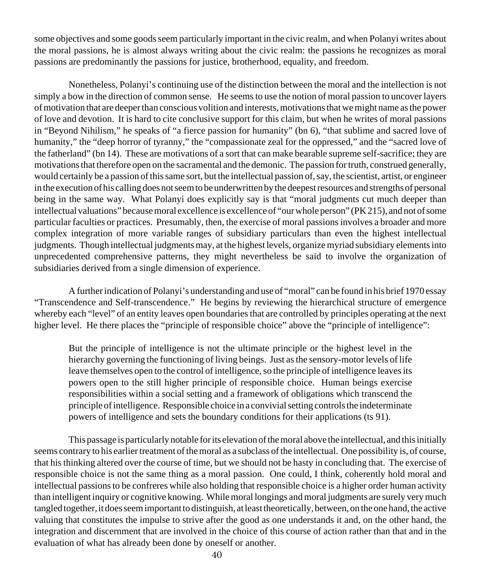some objectives and some goods seem particularly important in the civic realm, and when Polanyi writes about the moral passions, he is almost always writing about the civic realm: the passions he recognizes as moral passions are predominantly the passions for justice, brotherhood, equality, and freedom.

Nonetheless, Polanyi's continuing use of the distinction between the moral and the intellection is not simply a bow in the direction of common sense. He seems to use the notion of moral passion to uncover layers of motivation that are deeper than conscious volition and interests, motivations that we might name as the power of love and devotion. It is hard to cite conclusive support for this claim, but when he writes of moral passions in "Beyond Nihilism," he speaks of "a fierce passion for humanity" (bn 6), "that sublime and sacred love of humanity," the "deep horror of tyranny," the "compassionate zeal for the oppressed," and the "sacred love of the fatherland" (bn 14). These are motivations of a sort that can make bearable supreme self-sacrifice; they are motivations that therefore open on the sacramental and the demonic. The passion for truth, construed generally, would certainly be a passion of this same sort, but the intellectual passion of, say, the scientist, artist, or engineer in the execution of his calling does not seem to be underwritten by the deepest resources and strengths of personal being in the same way. What Polanyi does explicitly say is that "moral judgments cut much deeper than intellectual valuations" because moral excellence is excellence of "our whole person" (PK 215), and not of some particular faculties or practices. Presumably, then, the exercise of moral passions involves a broader and more complex integration of more variable ranges of subsidiary particulars than even the highest intellectual judgments. Though intellectual judgments may, at the highest levels, organize myriad subsidiary elements into unprecedented comprehensive patterns, they might nevertheless be said to involve the organization of subsidiaries derived from a single dimension of experience.

A further indication of Polanyi's understanding and use of "moral" can be found in his brief 1970 essay "Transcendence and Self-transcendence." He begins by reviewing the hierarchical structure of emergence whereby each "level" of an entity leaves open boundaries that are controlled by principles operating at the next higher level. He there places the "principle of responsible choice" above the "principle of intelligence":

But the principle of intelligence is not the ultimate principle or the highest level in the hierarchy governing the functioning of living beings. Just as the sensory-motor levels of life leave themselves open to the control of intelligence, so the principle of intelligence leaves its powers open to the still higher principle of responsible choice. Human beings exercise responsibilities within a social setting and a framework of obligations which transcend the principle of intelligence. Responsible choice in a convivial setting controls the indeterminate powers of intelligence and sets the boundary conditions for their applications (ts 91).

This passage is particularly notable for its elevation of the moral above the intellectual, and this initially seems contrary to his earlier treatment of the moral as a subclass of the intellectual. One possibility is, of course, that his thinking altered over the course of time, but we should not be hasty in concluding that. The exercise of responsible choice is not the same thing as a moral passion. One could, I think, coherently hold moral and intellectual passions to be confreres while also holding that responsible choice is a higher order human activity than intelligent inquiry or cognitive knowing. While moral longings and moral judgments are surely very much tangled together, it does seem important to distinguish, at least theoretically, between, on the one hand, the active valuing that constitutes the impulse to strive after the good as one understands it and, on the other hand, the integration and discernment that are involved in the choice of this course of action rather than that and in the evaluation of what has already been done by oneself or another.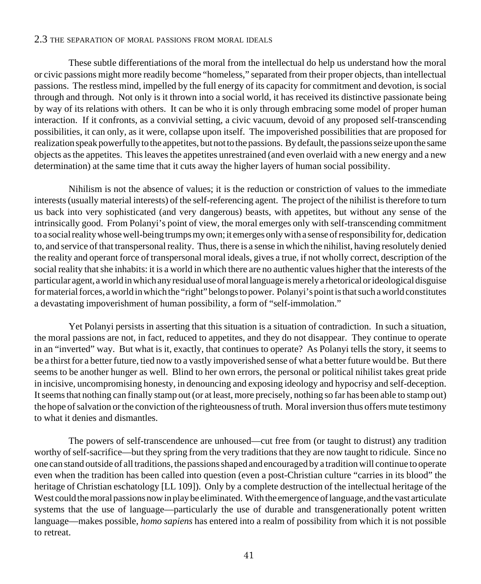#### 2.3 THE SEPARATION OF MORAL PASSIONS FROM MORAL IDEALS

These subtle differentiations of the moral from the intellectual do help us understand how the moral or civic passions might more readily become "homeless," separated from their proper objects, than intellectual passions. The restless mind, impelled by the full energy of its capacity for commitment and devotion, is social through and through. Not only is it thrown into a social world, it has received its distinctive passionate being by way of its relations with others. It can be who it is only through embracing some model of proper human interaction. If it confronts, as a convivial setting, a civic vacuum, devoid of any proposed self-transcending possibilities, it can only, as it were, collapse upon itself. The impoverished possibilities that are proposed for realization speak powerfully to the appetites, but not to the passions. By default, the passions seize upon the same objects as the appetites. This leaves the appetites unrestrained (and even overlaid with a new energy and a new determination) at the same time that it cuts away the higher layers of human social possibility.

Nihilism is not the absence of values; it is the reduction or constriction of values to the immediate interests (usually material interests) of the self-referencing agent. The project of the nihilist is therefore to turn us back into very sophisticated (and very dangerous) beasts, with appetites, but without any sense of the intrinsically good. From Polanyi's point of view, the moral emerges only with self-transcending commitment to a social reality whose well-being trumps my own; it emerges only with a sense of responsibility for, dedication to, and service of that transpersonal reality. Thus, there is a sense in which the nihilist, having resolutely denied the reality and operant force of transpersonal moral ideals, gives a true, if not wholly correct, description of the social reality that she inhabits: it is a world in which there are no authentic values higher that the interests of the particular agent, a world in which any residual use of moral language is merely a rhetorical or ideological disguise for material forces, a world in which the "right" belongs to power. Polanyi's point is that such a world constitutes a devastating impoverishment of human possibility, a form of "self-immolation."

Yet Polanyi persists in asserting that this situation is a situation of contradiction. In such a situation, the moral passions are not, in fact, reduced to appetites, and they do not disappear. They continue to operate in an "inverted" way. But what is it, exactly, that continues to operate? As Polanyi tells the story, it seems to be a thirst for a better future, tied now to a vastly impoverished sense of what a better future would be. But there seems to be another hunger as well. Blind to her own errors, the personal or political nihilist takes great pride in incisive, uncompromising honesty, in denouncing and exposing ideology and hypocrisy and self-deception. It seems that nothing can finally stamp out (or at least, more precisely, nothing so far has been able to stamp out) the hope of salvation or the conviction of the righteousness of truth. Moral inversion thus offers mute testimony to what it denies and dismantles.

The powers of self-transcendence are unhoused—cut free from (or taught to distrust) any tradition worthy of self-sacrifice—but they spring from the very traditions that they are now taught to ridicule. Since no one can stand outside of all traditions, the passions shaped and encouraged by a tradition will continue to operate even when the tradition has been called into question (even a post-Christian culture "carries in its blood" the heritage of Christian eschatology [LL 109]). Only by a complete destruction of the intellectual heritage of the West could the moral passions now in play be eliminated. With the emergence of language, and the vast articulate systems that the use of language—particularly the use of durable and transgenerationally potent written language—makes possible, *homo sapiens* has entered into a realm of possibility from which it is not possible to retreat.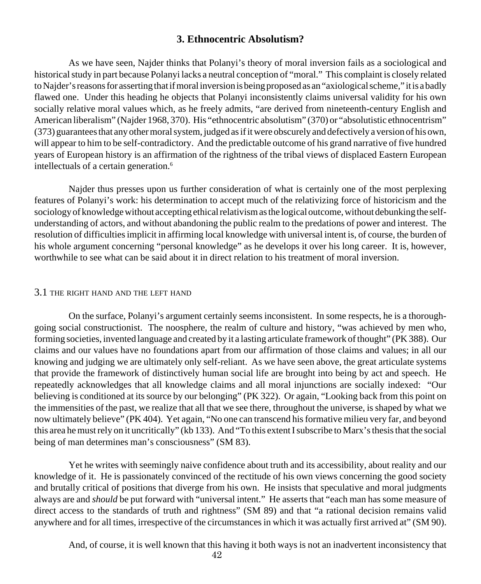## **3. Ethnocentric Absolutism?**

As we have seen, Najder thinks that Polanyi's theory of moral inversion fails as a sociological and historical study in part because Polanyi lacks a neutral conception of "moral." This complaint is closely related to Najder's reasons for asserting that if moral inversion is being proposed as an "axiological scheme," it is a badly flawed one. Under this heading he objects that Polanyi inconsistently claims universal validity for his own socially relative moral values which, as he freely admits, "are derived from nineteenth-century English and American liberalism" (Najder 1968, 370). His "ethnocentric absolutism" (370) or "absolutistic ethnocentrism" (373) guarantees that any other moral system, judged as if it were obscurely and defectively a version of his own, will appear to him to be self-contradictory. And the predictable outcome of his grand narrative of five hundred years of European history is an affirmation of the rightness of the tribal views of displaced Eastern European intellectuals of a certain generation.<sup>6</sup>

Najder thus presses upon us further consideration of what is certainly one of the most perplexing features of Polanyi's work: his determination to accept much of the relativizing force of historicism and the sociology of knowledge without accepting ethical relativism as the logical outcome, without debunking the selfunderstanding of actors, and without abandoning the public realm to the predations of power and interest. The resolution of difficulties implicit in affirming local knowledge with universal intent is, of course, the burden of his whole argument concerning "personal knowledge" as he develops it over his long career. It is, however, worthwhile to see what can be said about it in direct relation to his treatment of moral inversion.

#### 3.1 THE RIGHT HAND AND THE LEFT HAND

On the surface, Polanyi's argument certainly seems inconsistent. In some respects, he is a thoroughgoing social constructionist. The noosphere, the realm of culture and history, "was achieved by men who, forming societies, invented language and created by it a lasting articulate framework of thought" (PK 388). Our claims and our values have no foundations apart from our affirmation of those claims and values; in all our knowing and judging we are ultimately only self-reliant. As we have seen above, the great articulate systems that provide the framework of distinctively human social life are brought into being by act and speech. He repeatedly acknowledges that all knowledge claims and all moral injunctions are socially indexed: "Our believing is conditioned at its source by our belonging" (PK 322). Or again, "Looking back from this point on the immensities of the past, we realize that all that we see there, throughout the universe, is shaped by what we now ultimately believe" (PK 404). Yet again, "No one can transcend his formative milieu very far, and beyond this area he must rely on it uncritically" (kb 133). And "To this extent I subscribe to Marx's thesis that the social being of man determines man's consciousness" (SM 83).

Yet he writes with seemingly naive confidence about truth and its accessibility, about reality and our knowledge of it. He is passionately convinced of the rectitude of his own views concerning the good society and brutally critical of positions that diverge from his own. He insists that speculative and moral judgments always are and *should* be put forward with "universal intent." He asserts that "each man has some measure of direct access to the standards of truth and rightness" (SM 89) and that "a rational decision remains valid anywhere and for all times, irrespective of the circumstances in which it was actually first arrived at" (SM 90).

And, of course, it is well known that this having it both ways is not an inadvertent inconsistency that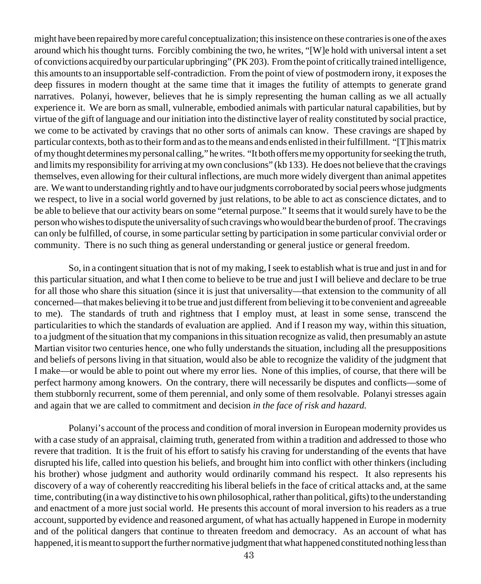might have been repaired by more careful conceptualization; this insistence on these contraries is one of the axes around which his thought turns. Forcibly combining the two, he writes, "[W]e hold with universal intent a set of convictions acquired by our particular upbringing" (PK 203). From the point of critically trained intelligence, this amounts to an insupportable self-contradiction. From the point of view of postmodern irony, it exposes the deep fissures in modern thought at the same time that it images the futility of attempts to generate grand narratives. Polanyi, however, believes that he is simply representing the human calling as we all actually experience it. We are born as small, vulnerable, embodied animals with particular natural capabilities, but by virtue of the gift of language and our initiation into the distinctive layer of reality constituted by social practice, we come to be activated by cravings that no other sorts of animals can know. These cravings are shaped by particular contexts, both as to their form and as to the means and ends enlisted in their fulfillment. "[T]his matrix of my thought determines my personal calling," he writes. "It both offers me my opportunity for seeking the truth, and limits my responsibility for arriving at my own conclusions" (kb 133). He does not believe that the cravings themselves, even allowing for their cultural inflections, are much more widely divergent than animal appetites are. We want to understanding rightly and to have our judgments corroborated by social peers whose judgments we respect, to live in a social world governed by just relations, to be able to act as conscience dictates, and to be able to believe that our activity bears on some "eternal purpose." It seems that it would surely have to be the person who wishes to dispute the universality of such cravings who would bear the burden of proof. The cravings can only be fulfilled, of course, in some particular setting by participation in some particular convivial order or community. There is no such thing as general understanding or general justice or general freedom.

So, in a contingent situation that is not of my making, I seek to establish what is true and just in and for this particular situation, and what I then come to believe to be true and just I will believe and declare to be true for all those who share this situation (since it is just that universality—that extension to the community of all concerned—that makes believing it to be true and just different from believing it to be convenient and agreeable to me). The standards of truth and rightness that I employ must, at least in some sense, transcend the particularities to which the standards of evaluation are applied. And if I reason my way, within this situation, to a judgment of the situation that my companions in this situation recognize as valid, then presumably an astute Martian visitor two centuries hence, one who fully understands the situation, including all the presuppositions and beliefs of persons living in that situation, would also be able to recognize the validity of the judgment that I make—or would be able to point out where my error lies. None of this implies, of course, that there will be perfect harmony among knowers. On the contrary, there will necessarily be disputes and conflicts—some of them stubbornly recurrent, some of them perennial, and only some of them resolvable. Polanyi stresses again and again that we are called to commitment and decision *in the face of risk and hazard.*

Polanyi's account of the process and condition of moral inversion in European modernity provides us with a case study of an appraisal, claiming truth, generated from within a tradition and addressed to those who revere that tradition. It is the fruit of his effort to satisfy his craving for understanding of the events that have disrupted his life, called into question his beliefs, and brought him into conflict with other thinkers (including his brother) whose judgment and authority would ordinarily command his respect. It also represents his discovery of a way of coherently reaccrediting his liberal beliefs in the face of critical attacks and, at the same time, contributing (in a way distinctive to his own philosophical, rather than political, gifts) to the understanding and enactment of a more just social world. He presents this account of moral inversion to his readers as a true account, supported by evidence and reasoned argument, of what has actually happened in Europe in modernity and of the political dangers that continue to threaten freedom and democracy. As an account of what has happened, it is meant to support the further normative judgment that what happened constituted nothing less than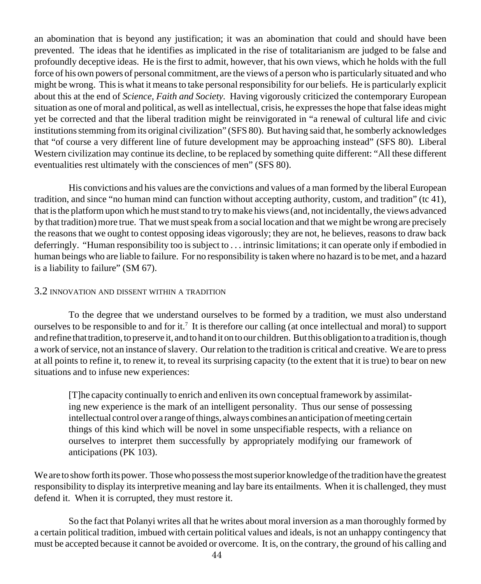an abomination that is beyond any justification; it was an abomination that could and should have been prevented. The ideas that he identifies as implicated in the rise of totalitarianism are judged to be false and profoundly deceptive ideas. He is the first to admit, however, that his own views, which he holds with the full force of his own powers of personal commitment, are the views of a person who is particularly situated and who might be wrong. This is what it means to take personal responsibility for our beliefs. He is particularly explicit about this at the end of *Science, Faith and Society.* Having vigorously criticized the contemporary European situation as one of moral and political, as well as intellectual, crisis, he expresses the hope that false ideas might yet be corrected and that the liberal tradition might be reinvigorated in "a renewal of cultural life and civic institutions stemming from its original civilization" (SFS 80). But having said that, he somberly acknowledges that "of course a very different line of future development may be approaching instead" (SFS 80). Liberal Western civilization may continue its decline, to be replaced by something quite different: "All these different eventualities rest ultimately with the consciences of men" (SFS 80).

His convictions and his values are the convictions and values of a man formed by the liberal European tradition, and since "no human mind can function without accepting authority, custom, and tradition" (tc 41), that is the platform upon which he must stand to try to make his views (and, not incidentally, the views advanced by that tradition) more true. That we must speak from a social location and that we might be wrong are precisely the reasons that we ought to contest opposing ideas vigorously; they are not, he believes, reasons to draw back deferringly. "Human responsibility too is subject to . . . intrinsic limitations; it can operate only if embodied in human beings who are liable to failure. For no responsibility is taken where no hazard is to be met, and a hazard is a liability to failure" (SM 67).

## 3.2 INNOVATION AND DISSENT WITHIN <sup>A</sup> TRADITION

To the degree that we understand ourselves to be formed by a tradition, we must also understand ourselves to be responsible to and for it.<sup>7</sup> It is therefore our calling (at once intellectual and moral) to support and refine that tradition, to preserve it, and to hand it on to our children. But this obligation to a tradition is, though a work of service, not an instance of slavery. Our relation to the tradition is critical and creative. We are to press at all points to refine it, to renew it, to reveal its surprising capacity (to the extent that it is true) to bear on new situations and to infuse new experiences:

[T]he capacity continually to enrich and enliven its own conceptual framework by assimilating new experience is the mark of an intelligent personality. Thus our sense of possessing intellectual control over a range of things, always combines an anticipation of meeting certain things of this kind which will be novel in some unspecifiable respects, with a reliance on ourselves to interpret them successfully by appropriately modifying our framework of anticipations (PK 103).

We are to show forth its power. Those who possess the most superior knowledge of the tradition have the greatest responsibility to display its interpretive meaning and lay bare its entailments. When it is challenged, they must defend it. When it is corrupted, they must restore it.

So the fact that Polanyi writes all that he writes about moral inversion as a man thoroughly formed by a certain political tradition, imbued with certain political values and ideals, is not an unhappy contingency that must be accepted because it cannot be avoided or overcome. It is, on the contrary, the ground of his calling and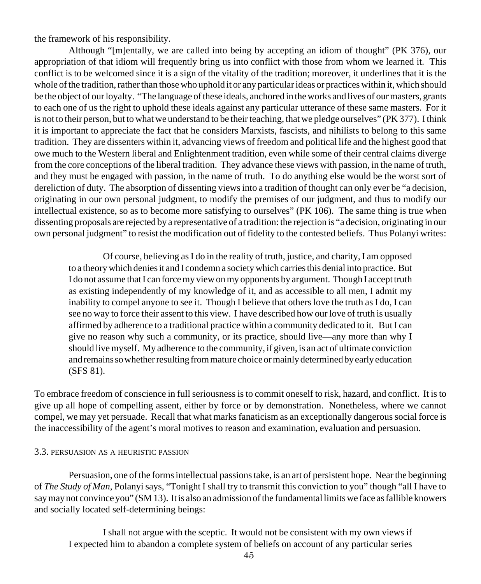the framework of his responsibility.

Although "[m]entally, we are called into being by accepting an idiom of thought" (PK 376), our appropriation of that idiom will frequently bring us into conflict with those from whom we learned it. This conflict is to be welcomed since it is a sign of the vitality of the tradition; moreover, it underlines that it is the whole of the tradition, rather than those who uphold it or any particular ideas or practices within it, which should be the object of our loyalty. "The language of these ideals, anchored in the works and lives of our masters, grants to each one of us the right to uphold these ideals against any particular utterance of these same masters. For it is not to their person, but to what we understand to be their teaching, that we pledge ourselves" (PK 377). I think it is important to appreciate the fact that he considers Marxists, fascists, and nihilists to belong to this same tradition. They are dissenters within it, advancing views of freedom and political life and the highest good that owe much to the Western liberal and Enlightenment tradition, even while some of their central claims diverge from the core conceptions of the liberal tradition. They advance these views with passion, in the name of truth, and they must be engaged with passion, in the name of truth. To do anything else would be the worst sort of dereliction of duty. The absorption of dissenting views into a tradition of thought can only ever be "a decision, originating in our own personal judgment, to modify the premises of our judgment, and thus to modify our intellectual existence, so as to become more satisfying to ourselves" (PK 106). The same thing is true when dissenting proposals are rejected by a representative of a tradition: the rejection is "a decision, originating in our own personal judgment" to resist the modification out of fidelity to the contested beliefs. Thus Polanyi writes:

Of course, believing as I do in the reality of truth, justice, and charity, I am opposed to a theory which denies it and I condemn a society which carries this denial into practice. But I do not assume that I can force my view on my opponents by argument. Though I accept truth as existing independently of my knowledge of it, and as accessible to all men, I admit my inability to compel anyone to see it. Though I believe that others love the truth as I do, I can see no way to force their assent to this view. I have described how our love of truth is usually affirmed by adherence to a traditional practice within a community dedicated to it. But I can give no reason why such a community, or its practice, should live—any more than why I should live myself. My adherence to the community, if given, is an act of ultimate conviction and remains so whether resulting from mature choice or mainly determined by early education (SFS 81).

To embrace freedom of conscience in full seriousness is to commit oneself to risk, hazard, and conflict. It is to give up all hope of compelling assent, either by force or by demonstration. Nonetheless, where we cannot compel, we may yet persuade. Recall that what marks fanaticism as an exceptionally dangerous social force is the inaccessibility of the agent's moral motives to reason and examination, evaluation and persuasion.

#### 3.3. PERSUASION AS A HEURISTIC PASSION

Persuasion, one of the forms intellectual passions take, is an art of persistent hope. Near the beginning of *The Study of Man*, Polanyi says, "Tonight I shall try to transmit this conviction to you" though "all I have to say may not convince you" (SM 13). It is also an admission of the fundamental limits we face as fallible knowers and socially located self-determining beings:

I shall not argue with the sceptic. It would not be consistent with my own views if I expected him to abandon a complete system of beliefs on account of any particular series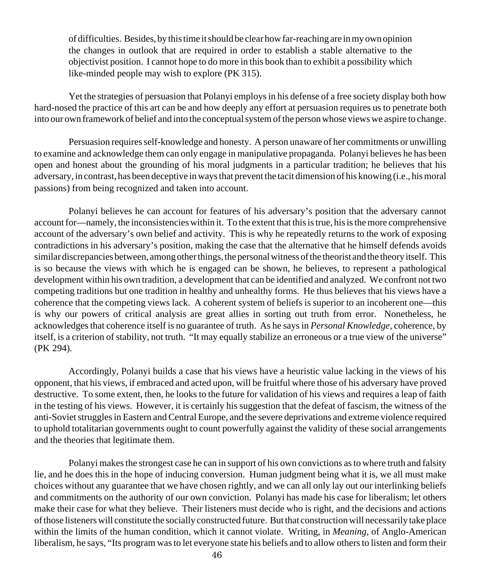of difficulties. Besides, by this time it should be clear how far-reaching are in my own opinion the changes in outlook that are required in order to establish a stable alternative to the objectivist position. I cannot hope to do more in this book than to exhibit a possibility which like-minded people may wish to explore (PK 315).

Yet the strategies of persuasion that Polanyi employs in his defense of a free society display both how hard-nosed the practice of this art can be and how deeply any effort at persuasion requires us to penetrate both into our own framework of belief and into the conceptual system of the person whose views we aspire to change.

Persuasion requires self-knowledge and honesty. A person unaware of her commitments or unwilling to examine and acknowledge them can only engage in manipulative propaganda. Polanyi believes he has been open and honest about the grounding of his moral judgments in a particular tradition; he believes that his adversary, in contrast, has been deceptive in ways that prevent the tacit dimension of his knowing (i.e., his moral passions) from being recognized and taken into account.

Polanyi believes he can account for features of his adversary's position that the adversary cannot account for—namely, the inconsistencies within it. To the extent that this is true, his is the more comprehensive account of the adversary's own belief and activity. This is why he repeatedly returns to the work of exposing contradictions in his adversary's position, making the case that the alternative that he himself defends avoids similar discrepancies between, among other things, the personal witness of the theorist and the theory itself. This is so because the views with which he is engaged can be shown, he believes, to represent a pathological development within his own tradition, a development that can be identified and analyzed. We confront not two competing traditions but one tradition in healthy and unhealthy forms. He thus believes that his views have a coherence that the competing views lack. A coherent system of beliefs is superior to an incoherent one—this is why our powers of critical analysis are great allies in sorting out truth from error. Nonetheless, he acknowledges that coherence itself is no guarantee of truth. As he says in *Personal Knowledge,* coherence, by itself, is a criterion of stability, not truth. "It may equally stabilize an erroneous or a true view of the universe" (PK 294).

Accordingly, Polanyi builds a case that his views have a heuristic value lacking in the views of his opponent, that his views, if embraced and acted upon, will be fruitful where those of his adversary have proved destructive. To some extent, then, he looks to the future for validation of his views and requires a leap of faith in the testing of his views. However, it is certainly his suggestion that the defeat of fascism, the witness of the anti-Soviet struggles in Eastern and Central Europe, and the severe deprivations and extreme violence required to uphold totalitarian governments ought to count powerfully against the validity of these social arrangements and the theories that legitimate them.

Polanyi makes the strongest case he can in support of his own convictions as to where truth and falsity lie, and he does this in the hope of inducing conversion. Human judgment being what it is, we all must make choices without any guarantee that we have chosen rightly, and we can all only lay out our interlinking beliefs and commitments on the authority of our own conviction. Polanyi has made his case for liberalism; let others make their case for what they believe. Their listeners must decide who is right, and the decisions and actions of those listeners will constitute the socially constructed future. But that construction will necessarily take place within the limits of the human condition, which it cannot violate. Writing, in *Meaning,* of Anglo-American liberalism, he says, "Its program was to let everyone state his beliefs and to allow others to listen and form their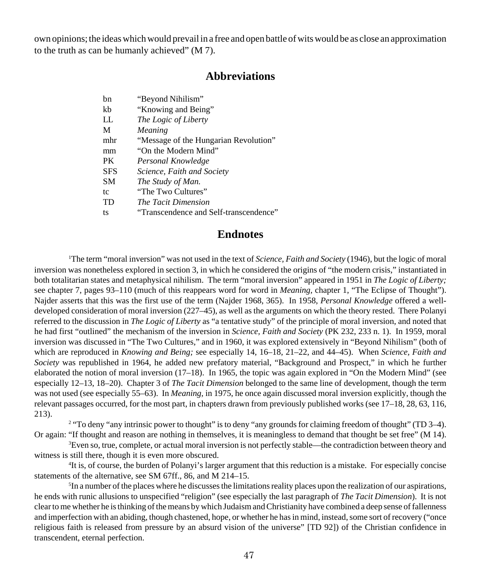own opinions; the ideas which would prevail in a free and open battle of wits would be as close an approximation to the truth as can be humanly achieved" (M 7).

## **Abbreviations**

| bn         | "Beyond Nihilism"                      |
|------------|----------------------------------------|
| kb         | "Knowing and Being"                    |
| LL.        | The Logic of Liberty                   |
| M          | Meaning                                |
| mhr        | "Message of the Hungarian Revolution"  |
| mm         | "On the Modern Mind"                   |
| <b>PK</b>  | Personal Knowledge                     |
| <b>SFS</b> | Science, Faith and Society             |
| <b>SM</b>  | The Study of Man.                      |
| tc         | "The Two Cultures"                     |
| TD         | The Tacit Dimension                    |
| ts         | "Transcendence and Self-transcendence" |

## **Endnotes**

1 The term "moral inversion" was not used in the text of *Science, Faith and Society* (1946), but the logic of moral inversion was nonetheless explored in section 3, in which he considered the origins of "the modern crisis," instantiated in both totalitarian states and metaphysical nihilism. The term "moral inversion" appeared in 1951 in *The Logic of Liberty;* see chapter 7, pages 93–110 (much of this reappears word for word in *Meaning,* chapter 1, "The Eclipse of Thought"). Najder asserts that this was the first use of the term (Najder 1968, 365). In 1958, *Personal Knowledge* offered a welldeveloped consideration of moral inversion (227–45), as well as the arguments on which the theory rested. There Polanyi referred to the discussion in *The Logic of Liberty* as "a tentative study" of the principle of moral inversion, and noted that he had first "outlined" the mechanism of the inversion in *Science, Faith and Society* (PK 232, 233 n. 1). In 1959, moral inversion was discussed in "The Two Cultures," and in 1960, it was explored extensively in "Beyond Nihilism" (both of which are reproduced in *Knowing and Being;* see especially 14, 16–18, 21–22, and 44–45). When *Science, Faith and Society* was republished in 1964, he added new prefatory material, "Background and Prospect," in which he further elaborated the notion of moral inversion (17–18). In 1965, the topic was again explored in "On the Modern Mind" (see especially 12–13, 18–20). Chapter 3 of *The Tacit Dimension* belonged to the same line of development, though the term was not used (see especially 55–63). In *Meaning,* in 1975, he once again discussed moral inversion explicitly, though the relevant passages occurred, for the most part, in chapters drawn from previously published works (see 17–18, 28, 63, 116, 213).

<sup>2</sup> "To deny "any intrinsic power to thought" is to deny "any grounds for claiming freedom of thought" (TD 3–4). Or again: "If thought and reason are nothing in themselves, it is meaningless to demand that thought be set free" (M 14).

3 Even so, true, complete, or actual moral inversion is not perfectly stable—the contradiction between theory and witness is still there, though it is even more obscured.

4 It is, of course, the burden of Polanyi's larger argument that this reduction is a mistake. For especially concise statements of the alternative, see SM 67ff., 86, and M 214–15.

5 In a number of the places where he discusses the limitations reality places upon the realization of our aspirations, he ends with runic allusions to unspecified "religion" (see especially the last paragraph of *The Tacit Dimension*). It is not clear to me whether he is thinking of the means by which Judaism and Christianity have combined a deep sense of fallenness and imperfection with an abiding, though chastened, hope, or whether he has in mind, instead, some sort of recovery ("once religious faith is released from pressure by an absurd vision of the universe" [TD 92]) of the Christian confidence in transcendent, eternal perfection.